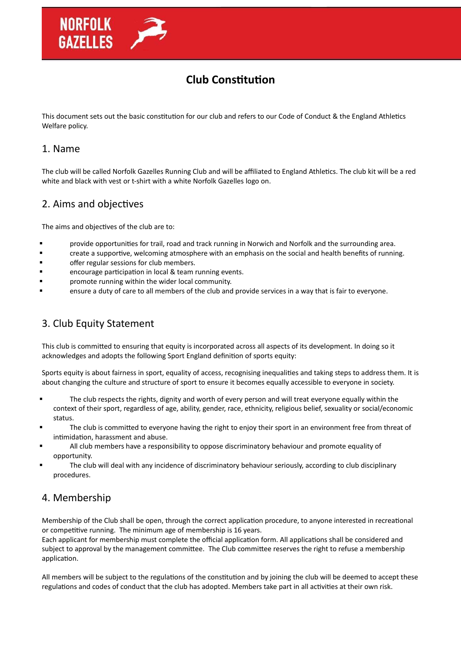# **Club Constitution**

This document sets out the basic constitution for our club and refers to our Code of Conduct & the England Athletics Welfare policy.

#### 1. Name

The club will be called Norfolk Gazelles Running Club and will be affiliated to England Athletics. The club kit will be a red white and black with vest or t-shirt with a white Norfolk Gazelles logo on.

#### 2. Aims and objectives

The aims and objectives of the club are to:

- provide opportunities for trail, road and track running in Norwich and Norfolk and the surrounding area.
- **Face a supportive, welcoming atmosphere with an emphasis on the social and health benefits of running.**
- **Example 12** offer regular sessions for club members.
- encourage participation in local & team running events.
- **Example 1** promote running within the wider local community.
- ensure a duty of care to all members of the club and provide services in a way that is fair to everyone.

# 3. Club Equity Statement

This club is committed to ensuring that equity is incorporated across all aspects of its development. In doing so it acknowledges and adopts the following Sport England definition of sports equity:

Sports equity is about fairness in sport, equality of access, recognising inequalities and taking steps to address them. It is about changing the culture and structure of sport to ensure it becomes equally accessible to everyone in society.

- The club respects the rights, dignity and worth of every person and will treat everyone equally within the context of their sport, regardless of age, ability, gender, race, ethnicity, religious belief, sexuality or social/economic status.
- The club is committed to everyone having the right to enjoy their sport in an environment free from threat of intimidation, harassment and abuse.
- All club members have a responsibility to oppose discriminatory behaviour and promote equality of opportunity.
- The club will deal with any incidence of discriminatory behaviour seriously, according to club disciplinary procedures.

# 4. Membership

Membership of the Club shall be open, through the correct application procedure, to anyone interested in recreational or competitive running. The minimum age of membership is 16 years.

Each applicant for membership must complete the official application form. All applications shall be considered and subject to approval by the management committee. The Club committee reserves the right to refuse a membership application.

All members will be subject to the regulations of the constitution and by joining the club will be deemed to accept these regulations and codes of conduct that the club has adopted. Members take part in all activities at their own risk.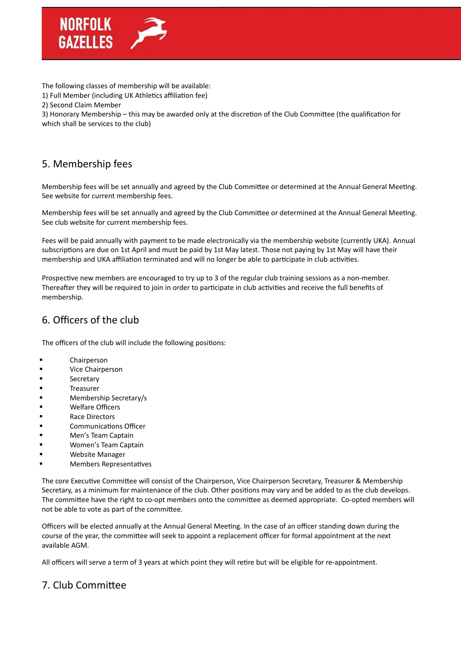

The following classes of membership will be available:

1) Full Member (including UK Athletics affiliation fee)

2) Second Claim Member

3) Honorary Membership – this may be awarded only at the discretion of the Club Committee (the qualification for which shall be services to the club)

# 5. Membership fees

Membership fees will be set annually and agreed by the Club Committee or determined at the Annual General Meeting. See website for current membership fees.

Membership fees will be set annually and agreed by the Club Committee or determined at the Annual General Meeting. See club website for current membership fees.

Fees will be paid annually with payment to be made electronically via the membership website (currently UKA). Annual subscriptions are due on 1st April and must be paid by 1st May latest. Those not paying by 1st May will have their membership and UKA affiliation terminated and will no longer be able to participate in club activities.

Prospective new members are encouraged to try up to 3 of the regular club training sessions as a non-member. Thereafter they will be required to join in order to participate in club activities and receive the full benefits of membership.

# 6. Officers of the club

The officers of the club will include the following positions:

- **E** Chairperson
- **U** Vice Chairperson
- **B** Secretary
- **Treasurer**
- Membership Secretary/s
- Welfare Officers
- Race Directors
- Communications Officer
- **Example 12 Men's Team Captain**
- Women's Team Captain
- Website Manager
- Members Representatives

The core Executive Committee will consist of the Chairperson, Vice Chairperson Secretary, Treasurer & Membership Secretary, as a minimum for maintenance of the club. Other positions may vary and be added to as the club develops. The committee have the right to co-opt members onto the committee as deemed appropriate. Co-opted members will not be able to vote as part of the committee.

Officers will be elected annually at the Annual General Meeting. In the case of an officer standing down during the course of the year, the committee will seek to appoint a replacement officer for formal appointment at the next available AGM.

All officers will serve a term of 3 years at which point they will retire but will be eligible for re-appointment.

# 7. Club Committee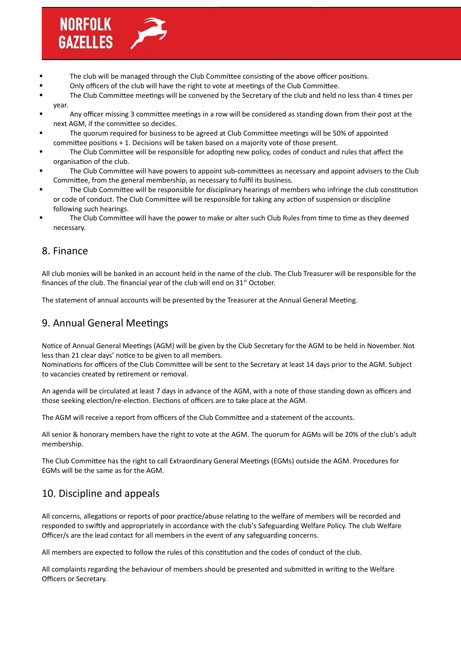

- The club will be managed through the Club Committee consisting of the above officer positions.
- Only officers of the club will have the right to vote at meetings of the Club Committee.
- The Club Committee meetings will be convened by the Secretary of the club and held no less than 4 times per year.
- Any officer missing 3 committee meetings in a row will be considered as standing down from their post at the next AGM, if the committee so decides.
- The quorum required for business to be agreed at Club Committee meetings will be 50% of appointed committee positions + 1. Decisions will be taken based on a majority vote of those present.
- The Club Committee will be responsible for adopting new policy, codes of conduct and rules that affect the organisation of the club.
- The Club Committee will have powers to appoint sub-committees as necessary and appoint advisers to the Club Committee, from the general membership, as necessary to fulfil its business.
- The Club Committee will be responsible for disciplinary hearings of members who infringe the club constitution or code of conduct. The Club Committee will be responsible for taking any action of suspension or discipline following such hearings.
- The Club Committee will have the power to make or alter such Club Rules from time to time as they deemed necessary.

#### 8. Finance

All club monies will be banked in an account held in the name of the club. The Club Treasurer will be responsible for the finances of the club. The financial year of the club will end on  $31<sup>st</sup>$  October.

The statement of annual accounts will be presented by the Treasurer at the Annual General Meeting.

#### 9. Annual General Meetings

Notice of Annual General Meetings (AGM) will be given by the Club Secretary for the AGM to be held in November. Not less than 21 clear days' notice to be given to all members.

Nominations for officers of the Club Committee will be sent to the Secretary at least 14 days prior to the AGM. Subject to vacancies created by retirement or removal.

An agenda will be circulated at least 7 days in advance of the AGM, with a note of those standing down as officers and those seeking election/re-election. Elections of officers are to take place at the AGM.

The AGM will receive a report from officers of the Club Committee and a statement of the accounts.

All senior & honorary members have the right to vote at the AGM. The quorum for AGMs will be 20% of the club's adult membership.

The Club Committee has the right to call Extraordinary General Meetings (EGMs) outside the AGM. Procedures for EGMs will be the same as for the AGM.

# 10. Discipline and appeals

All concerns, allegations or reports of poor practice/abuse relating to the welfare of members will be recorded and responded to swiftly and appropriately in accordance with the club's Safeguarding Welfare Policy. The club Welfare Officer/s are the lead contact for all members in the event of any safeguarding concerns.

All members are expected to follow the rules of this constitution and the codes of conduct of the club.

All complaints regarding the behaviour of members should be presented and submitted in writing to the Welfare Officers or Secretary.